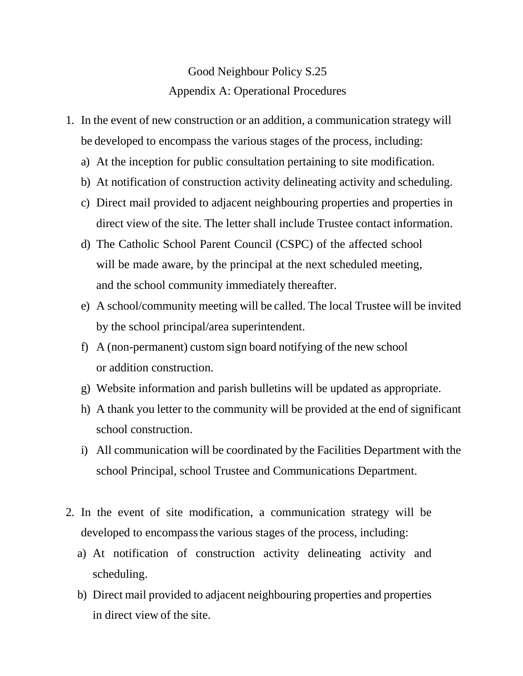## Good Neighbour Policy S.25 Appendix A: Operational Procedures

- 1. In the event of new construction or an addition, a communication strategy will be developed to encompass the various stages of the process, including:
	- a) At the inception for public consultation pertaining to site modification.
	- b) At notification of construction activity delineating activity and scheduling.
	- c) Direct mail provided to adjacent neighbouring properties and properties in direct view of the site. The letter shall include Trustee contact information.
	- d) The Catholic School Parent Council (CSPC) of the affected school will be made aware, by the principal at the next scheduled meeting, and the school community immediately thereafter.
	- e) A school/community meeting will be called. The local Trustee will be invited by the school principal/area superintendent.
	- f) A (non-permanent) custom sign board notifying of the new school or addition construction.
	- g) Website information and parish bulletins will be updated as appropriate.
	- h) A thank you letter to the community will be provided at the end of significant school construction.
	- i) All communication will be coordinated by the Facilities Department with the school Principal, school Trustee and Communications Department.
- 2. In the event of site modification, a communication strategy will be developed to encompassthe various stages of the process, including:
	- a) At notification of construction activity delineating activity and scheduling.
	- b) Direct mail provided to adjacent neighbouring properties and properties in direct view of the site.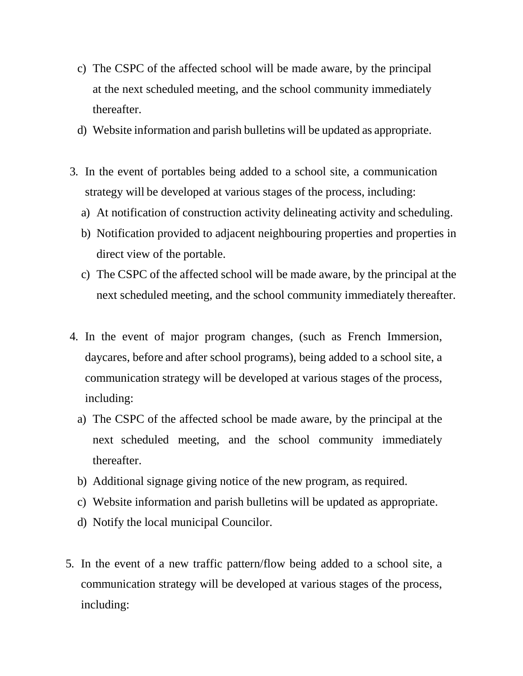- c) The CSPC of the affected school will be made aware, by the principal at the next scheduled meeting, and the school community immediately thereafter.
- d) Website information and parish bulletins will be updated as appropriate.
- 3. In the event of portables being added to a school site, a communication strategy will be developed at various stages of the process, including:
	- a) At notification of construction activity delineating activity and scheduling.
	- b) Notification provided to adjacent neighbouring properties and properties in direct view of the portable.
	- c) The CSPC of the affected school will be made aware, by the principal at the next scheduled meeting, and the school community immediately thereafter.
- 4. In the event of major program changes, (such as French Immersion, daycares, before and after school programs), being added to a school site, a communication strategy will be developed at various stages of the process, including:
	- a) The CSPC of the affected school be made aware, by the principal at the next scheduled meeting, and the school community immediately thereafter.
	- b) Additional signage giving notice of the new program, as required.
	- c) Website information and parish bulletins will be updated as appropriate.
	- d) Notify the local municipal Councilor.
- 5. In the event of a new traffic pattern/flow being added to a school site, a communication strategy will be developed at various stages of the process, including: